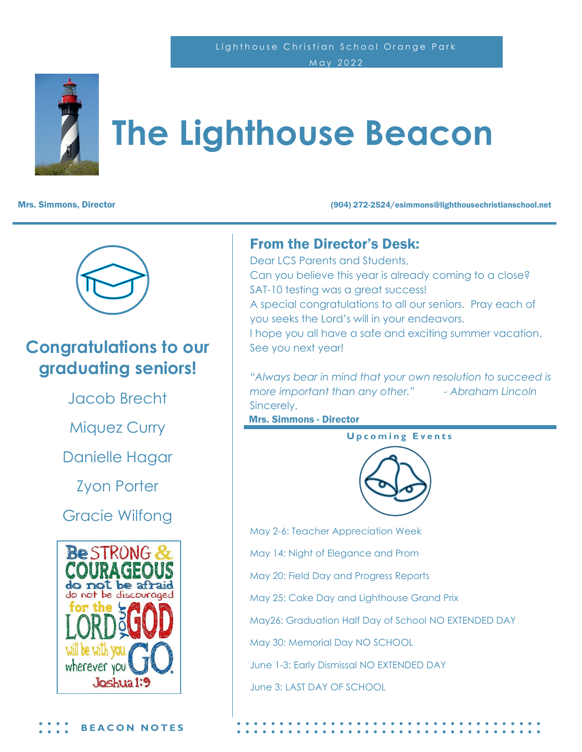#### Lighthouse Christian School Orange Park May 2022



# **The Lighthouse Beacon**

Mrs. Simmons, Director (904) 272-2524/esimmons@lighthousechristianschool.net



### **Congratulations to our graduating seniors!**

Jacob Brecht

Miquez Curry

Danielle Hagar

Zyon Porter

Gracie Wilfong



#### From the Director's Desk:

Dear LCS Parents and Students, Can you believe this year is already coming to a close? SAT-10 testing was a great success! A special congratulations to all our seniors. Pray each of you seeks the Lord's will in your endeavors. I hope you all have a safe and exciting summer vacation. See you next year!

*"Always bear in mind that your own resolution to succeed is more important than any other." - Abraham Lincoln* Sincerely,

Mrs. Simmons - Director

**Upcoming Events** 



May 2-6: Teacher Appreciation Week May 14: Night of Elegance and Prom May 20: Field Day and Progress Reports May 25: Cake Day and Lighthouse Grand Prix May26: Graduation Half Day of School NO EXTENDED DAY May 30: Memorial Day NO SCHOOL June 1-3: Early Dismissal NO EXTENDED DAY June 3: LAST DAY OF SCHOOL